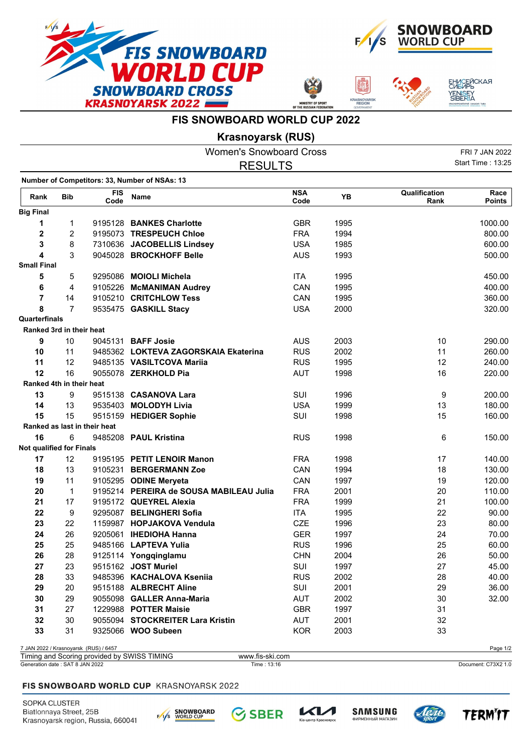







## **FIS SNOWBOARD WORLD CUP 2022**

**Krasnoyarsk (RUS)**

|                                 |                |                                       | <b>Women's Snowboard Cross</b>                |                    |      |                       | FRI 7 JAN 2022        |
|---------------------------------|----------------|---------------------------------------|-----------------------------------------------|--------------------|------|-----------------------|-----------------------|
|                                 |                |                                       | <b>RESULTS</b>                                |                    |      |                       | Start Time: 13:25     |
|                                 |                |                                       | Number of Competitors: 33, Number of NSAs: 13 |                    |      |                       |                       |
| Rank                            | <b>Bib</b>     | <b>FIS</b><br>Code                    | Name                                          | <b>NSA</b><br>Code | YB   | Qualification<br>Rank | Race<br><b>Points</b> |
| <b>Big Final</b>                |                |                                       |                                               |                    |      |                       |                       |
| 1                               | 1              |                                       | 9195128 BANKES Charlotte                      | <b>GBR</b>         | 1995 |                       | 1000.00               |
| $\mathbf 2$                     | 2              |                                       | 9195073 TRESPEUCH Chloe                       | <b>FRA</b>         | 1994 |                       | 800.00                |
| 3                               | 8              |                                       | 7310636 JACOBELLIS Lindsey                    | <b>USA</b>         | 1985 |                       | 600.00                |
| $\overline{\mathbf{4}}$         | 3              |                                       | 9045028 BROCKHOFF Belle                       | <b>AUS</b>         | 1993 |                       | 500.00                |
| <b>Small Final</b>              |                |                                       |                                               |                    |      |                       |                       |
| 5                               | 5              |                                       | 9295086 MOIOLI Michela                        | <b>ITA</b>         | 1995 |                       | 450.00                |
| 6                               | 4              |                                       | 9105226 McMANIMAN Audrey                      | <b>CAN</b>         | 1995 |                       | 400.00                |
| $\overline{7}$                  | 14             |                                       | 9105210 CRITCHLOW Tess                        | CAN                | 1995 |                       | 360.00                |
| 8                               | $\overline{7}$ |                                       | 9535475 GASKILL Stacy                         | <b>USA</b>         | 2000 |                       | 320.00                |
| Quarterfinals                   |                |                                       |                                               |                    |      |                       |                       |
| Ranked 3rd in their heat        |                |                                       |                                               |                    |      |                       |                       |
| 9                               | 10             |                                       | 9045131 <b>BAFF Josie</b>                     | <b>AUS</b>         | 2003 | 10                    | 290.00                |
| 10                              | 11             |                                       | 9485362 LOKTEVA ZAGORSKAIA Ekaterina          | <b>RUS</b>         | 2002 | 11                    | 260.00                |
| 11                              | 12             |                                       | 9485135 VASILTCOVA Mariia                     | <b>RUS</b>         | 1995 | 12                    | 240.00                |
| 12                              | 16             |                                       | 9055078 ZERKHOLD Pia                          | <b>AUT</b>         | 1998 | 16                    | 220.00                |
| Ranked 4th in their heat        |                |                                       |                                               |                    |      |                       |                       |
| 13                              | 9              |                                       | 9515138 CASANOVA Lara                         | <b>SUI</b>         | 1996 | 9                     | 200.00                |
| 14                              | 13             |                                       | 9535403 MOLODYH Livia                         | <b>USA</b>         | 1999 | 13                    | 180.00                |
| 15                              | 15             |                                       | 9515159 HEDIGER Sophie                        | SUI                | 1998 | 15                    | 160.00                |
|                                 |                | Ranked as last in their heat          |                                               |                    |      |                       |                       |
| 16                              | 6              |                                       | 9485208 PAUL Kristina                         | <b>RUS</b>         | 1998 | 6                     | 150.00                |
| <b>Not qualified for Finals</b> |                |                                       |                                               |                    |      |                       |                       |
| 17                              | 12             |                                       | 9195195 PETIT LENOIR Manon                    | <b>FRA</b>         | 1998 | 17                    | 140.00                |
| 18                              | 13             |                                       | 9105231 BERGERMANN Zoe                        | CAN                | 1994 | 18                    | 130.00                |
| 19                              | 11             |                                       | 9105295 ODINE Meryeta                         | CAN                | 1997 | 19                    | 120.00                |
| 20                              | $\mathbf{1}$   |                                       | 9195214 PEREIRA de SOUSA MABILEAU Julia       | <b>FRA</b>         | 2001 | 20                    | 110.00                |
| 21                              | 17             |                                       | 9195172 QUEYREL Alexia                        | <b>FRA</b>         | 1999 | 21                    | 100.00                |
| 22                              | 9              |                                       | 9295087 BELINGHERI Sofia                      | <b>ITA</b>         | 1995 | 22                    | 90.00                 |
| 23                              | 22             |                                       | 1159987 HOPJAKOVA Vendula                     | <b>CZE</b>         | 1996 | 23                    | 80.00                 |
| 24                              | 26             |                                       | 9205061 IHEDIOHA Hanna                        | <b>GER</b>         | 1997 | 24                    | 70.00                 |
| 25                              | 25             |                                       | 9485166 LAPTEVA Yulia                         | <b>RUS</b>         | 1996 | 25                    | 60.00                 |
| 26                              | 28             |                                       | 9125114 Yongqinglamu                          | <b>CHN</b>         | 2004 | 26                    | 50.00                 |
| 27                              | 23             |                                       | 9515162 JOST Muriel                           | SUI                | 1997 | 27                    | 45.00                 |
| 28                              | 33             |                                       | 9485396 KACHALOVA Kseniia                     | <b>RUS</b>         | 2002 | 28                    | 40.00                 |
| 29                              | 20             |                                       | 9515188 ALBRECHT Aline                        | SUI                | 2001 | 29                    | 36.00                 |
| 30                              | 29             |                                       | 9055098 GALLER Anna-Maria                     | AUT                | 2002 | 30                    | 32.00                 |
| 31                              | 27             |                                       | 1229988 POTTER Maisie                         | <b>GBR</b>         | 1997 | 31                    |                       |
| 32                              | 30             |                                       | 9055094 STOCKREITER Lara Kristin              | AUT                | 2001 | 32                    |                       |
| 33                              | 31             |                                       | 9325066 WOO Subeen                            | <b>KOR</b>         | 2003 | 33                    |                       |
|                                 |                |                                       |                                               |                    |      |                       |                       |
|                                 |                | 7 JAN 2022 / Krasnoyarsk (RUS) / 6457 |                                               |                    |      |                       | Page 1/2              |

Generation date : SAT 8 JAN 2022 Time : 13:16 Document: C73X2 1.0 Timing and Scoring provided by SWISS TIMING www.fis-ski.com

## FIS SNOWBOARD WORLD CUP KRASNOYARSK 2022

SOPKA CLUSTER Biatlonnaya Street, 25B Krasnoyarsk region, Russia, 660041





тр Красн